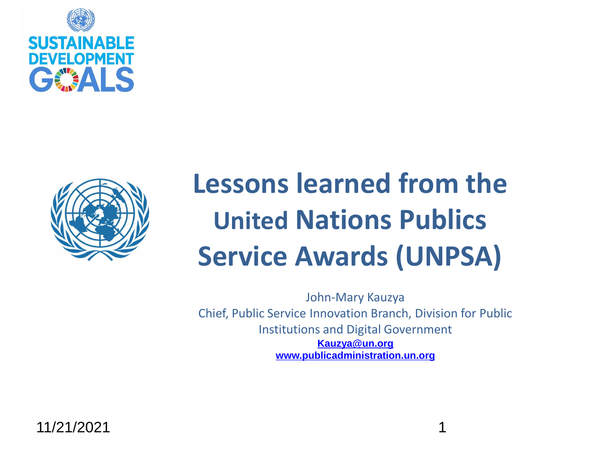



# **Lessons learned from the United Nations Publics Service Awards (UNPSA)**

John-Mary Kauzya Chief, Public Service Innovation Branch, Division for Public Institutions and Digital Government **[Kauzya@un.org](mailto:Kauzya@un.org) [www.publicadministration.un.org](http://www.publicadministration.un.org/)**

11/21/2021 1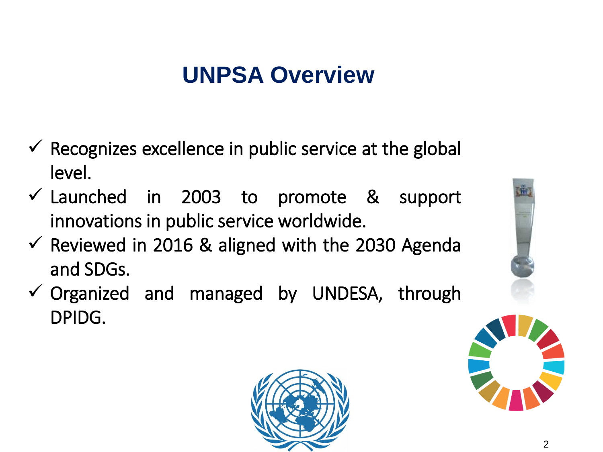### **UNPSA Overview**

- $\checkmark$  Recognizes excellence in public service at the global level.
- $\checkmark$  Launched in 2003 to promote & support innovations in public service worldwide.
- $\checkmark$  Reviewed in 2016 & aligned with the 2030 Agenda and SDGs.
- $\checkmark$  Organized and managed by UNDESA, through DPIDG.





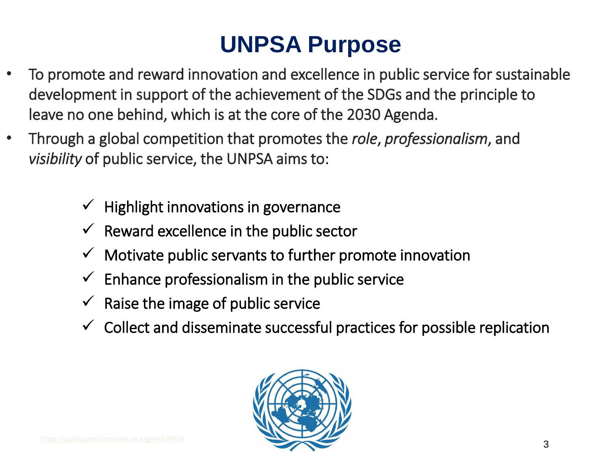## **UNPSA Purpose**

- To promote and reward innovation and excellence in public service for sustainable development in support of the achievement of the SDGs and the principle to leave no one behind, which is at the core of the 2030 Agenda.
- Through a global competition that promotes the *role*, *professionalism*, and *visibility* of public service, the UNPSA aims to:
	- Highlight innovations in governance
	- $\checkmark$  Reward excellence in the public sector
	- $\checkmark$  Motivate public servants to further promote innovation
	- $\checkmark$  Enhance professionalism in the public service
	- $\checkmark$  Raise the image of public service
	- $\checkmark$  Collect and disseminate successful practices for possible replication

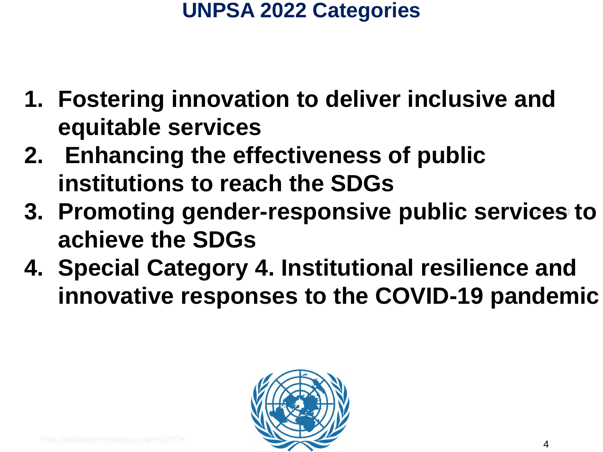### **UNPSA 2022 Categories**

- **1. Fostering innovation to deliver inclusive and equitable services**
- **2. Enhancing the effectiveness of public institutions to reach the SDGs**
- *(© AP Images)* **3. Promoting gender-responsive public services to achieve the SDGs**
- **4. Special Category 4. Institutional resilience and innovative responses to the COVID-19 pandemic**